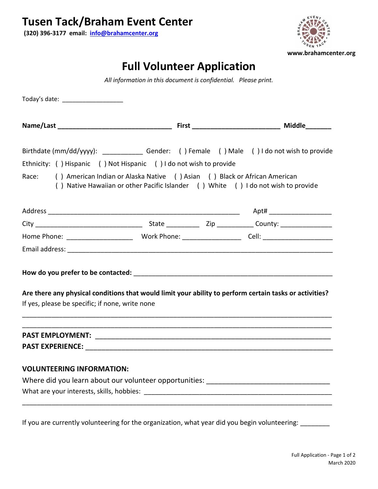**(320) 396-3177 email: [info@brahamcenter.org](mailto:info@brahamcenter.org)**



## **Full Volunteer Application**

*All information in this document is confidential. Please print.*

|       |                                                                    | Birthdate (mm/dd/yyyy): ________________Gender: () Female () Male () I do not wish to provide                                                                  |  |
|-------|--------------------------------------------------------------------|----------------------------------------------------------------------------------------------------------------------------------------------------------------|--|
|       | Ethnicity: () Hispanic () Not Hispanic () I do not wish to provide |                                                                                                                                                                |  |
| Race: |                                                                    | () American Indian or Alaska Native () Asian () Black or African American<br>() Native Hawaiian or other Pacific Islander () White () I do not wish to provide |  |
|       |                                                                    |                                                                                                                                                                |  |
|       |                                                                    |                                                                                                                                                                |  |
|       |                                                                    |                                                                                                                                                                |  |
|       |                                                                    |                                                                                                                                                                |  |
|       |                                                                    |                                                                                                                                                                |  |
|       | If yes, please be specific; if none, write none                    | Are there any physical conditions that would limit your ability to perform certain tasks or activities?                                                        |  |
|       |                                                                    |                                                                                                                                                                |  |
|       |                                                                    |                                                                                                                                                                |  |
|       | <b>VOLUNTEERING INFORMATION:</b>                                   |                                                                                                                                                                |  |
|       |                                                                    | Where did you learn about our volunteer opportunities: __________________________                                                                              |  |
|       |                                                                    |                                                                                                                                                                |  |

If you are currently volunteering for the organization, what year did you begin volunteering: \_\_\_\_\_\_\_\_\_\_\_\_\_\_\_